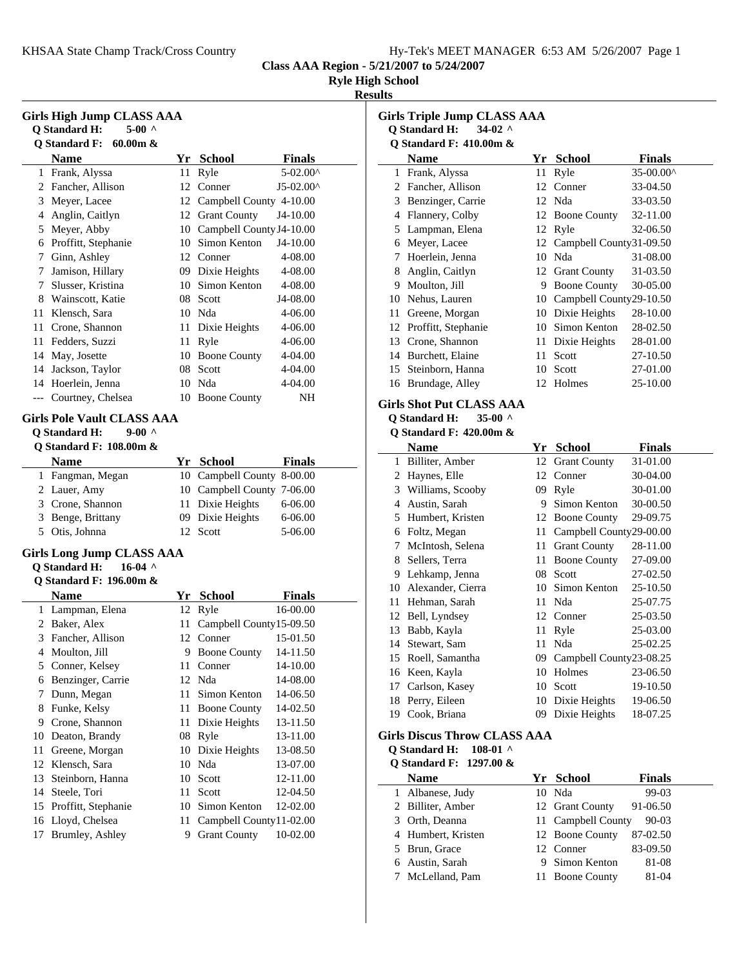|  | Hy-Tek's MEET MANAGER 6:53 AM 5/26/2007 Page 1 |  |  |
|--|------------------------------------------------|--|--|
|  |                                                |  |  |

**Class AAA Region - 5/21/2007 to 5/24/2007**

|  | <b>Ryle High School</b> |
|--|-------------------------|

# **Results**

| <b>Girls High Jump CLASS AAA</b><br><b>Q</b> Standard H:<br>$5-00$ ^<br><b>Q</b> Standard F:<br>60.00m & |                                    |      |                             |                    |  |  |
|----------------------------------------------------------------------------------------------------------|------------------------------------|------|-----------------------------|--------------------|--|--|
|                                                                                                          | <b>Name</b>                        |      | Yr School                   | Finals             |  |  |
| 1                                                                                                        | Frank, Alyssa                      | 11   | Ryle                        | 5-02.00^           |  |  |
| 2                                                                                                        | Fancher, Allison                   |      | 12 Conner                   | $J5-02.00^{\circ}$ |  |  |
| 3                                                                                                        | Meyer, Lacee                       |      | 12 Campbell County 4-10.00  |                    |  |  |
| 4                                                                                                        | Anglin, Caitlyn                    |      | 12 Grant County             | J4-10.00           |  |  |
| 5                                                                                                        | Meyer, Abby                        |      | 10 Campbell County J4-10.00 |                    |  |  |
|                                                                                                          | 6 Proffitt, Stephanie              |      | 10 Simon Kenton             | J4-10.00           |  |  |
| 7                                                                                                        | Ginn, Ashley                       |      | 12 Conner                   | 4-08.00            |  |  |
| 7                                                                                                        | Jamison, Hillary                   |      | 09 Dixie Heights            | 4-08.00            |  |  |
| 7                                                                                                        | Slusser, Kristina                  |      | 10 Simon Kenton             | 4-08.00            |  |  |
|                                                                                                          | 8 Wainscott, Katie                 |      | 08 Scott                    | J4-08.00           |  |  |
| 11                                                                                                       | Klensch, Sara                      |      | 10 Nda                      | 4-06.00            |  |  |
| 11                                                                                                       | Crone, Shannon                     |      | 11 Dixie Heights            | 4-06.00            |  |  |
| 11                                                                                                       | Fedders, Suzzi                     | 11   | Ryle                        | 4-06.00            |  |  |
| 14                                                                                                       | May, Josette                       |      | 10 Boone County             | 4-04.00            |  |  |
|                                                                                                          | 14 Jackson, Taylor                 |      | 08 Scott                    | 4-04.00            |  |  |
|                                                                                                          | 14 Hoerlein, Jenna                 |      | 10 Nda                      | 4-04.00            |  |  |
| $---$                                                                                                    | Courtney, Chelsea                  |      | 10 Boone County             | NH                 |  |  |
|                                                                                                          |                                    |      |                             |                    |  |  |
| <b>Girls Pole Vault CLASS AAA</b>                                                                        |                                    |      |                             |                    |  |  |
|                                                                                                          | $9-00$ ^<br><b>Q</b> Standard H:   |      |                             |                    |  |  |
|                                                                                                          | <b>Q Standard F: 108.00m &amp;</b> |      |                             |                    |  |  |
|                                                                                                          | Name                               |      | Yr School                   | <b>Finals</b>      |  |  |
| 1                                                                                                        | Fangman, Megan                     |      | 10 Campbell County 8-00.00  |                    |  |  |
| 2                                                                                                        | Lauer, Amy                         |      | 10 Campbell County 7-06.00  |                    |  |  |
|                                                                                                          | 3 Crone, Shannon                   | 11 - | Dixie Heights               | 6-06.00            |  |  |
| 3                                                                                                        | Benge, Brittany                    |      | 09 Dixie Heights            | 6-06.00            |  |  |
|                                                                                                          | 5 Otis, Johnna                     |      | 12 Scott                    | 5-06.00            |  |  |
|                                                                                                          | <b>Girls Long Jump CLASS AAA</b>   |      |                             |                    |  |  |
|                                                                                                          | <b>Q</b> Standard H:<br>$16-04$ ^  |      |                             |                    |  |  |
|                                                                                                          | Q Standard F: 196.00m &            |      |                             |                    |  |  |
|                                                                                                          | <b>Name</b>                        |      | Yr School                   | <b>Finals</b>      |  |  |
| 1                                                                                                        | Lampman, Elena                     | 12   | Ryle                        | 16-00.00           |  |  |
| 2                                                                                                        | Baker, Alex                        | 11   | Campbell County15-09.50     |                    |  |  |
| 3                                                                                                        | Fancher, Allison                   |      | 12 Conner                   | 15-01.50           |  |  |
| 4                                                                                                        | Moulton, Jill                      | 9    | <b>Boone County</b>         | 14-11.50           |  |  |
| 5                                                                                                        | Conner, Kelsey                     | 11   | Conner                      | 14-10.00           |  |  |
| 6                                                                                                        | Benzinger, Carrie                  | 12   | Nda                         | 14-08.00           |  |  |
| 7                                                                                                        | Dunn, Megan                        | 11   | Simon Kenton                | 14-06.50           |  |  |
| 8                                                                                                        | Funke, Kelsy                       | 11   | <b>Boone County</b>         | 14-02.50           |  |  |
| 9                                                                                                        | Crone, Shannon                     | 11   | Dixie Heights               | 13-11.50           |  |  |
| 10                                                                                                       | Deaton, Brandy                     | 08   | Ryle                        | 13-11.00           |  |  |
| 11                                                                                                       | Greene, Morgan                     |      | 10 Dixie Heights            | 13-08.50           |  |  |
| 12                                                                                                       | Klensch, Sara                      |      | 10 Nda                      | 13-07.00           |  |  |
| 13                                                                                                       | Steinborn, Hanna                   |      | 10 Scott                    | 12-11.00           |  |  |
| 14                                                                                                       | Steele, Tori                       | 11   | Scott                       | 12-04.50           |  |  |
| 15                                                                                                       | Proffitt, Stephanie                | 10   | Simon Kenton                | 12-02.00           |  |  |
| 16                                                                                                       | Lloyd, Chelsea                     | 11   | Campbell County11-02.00     |                    |  |  |
| 17                                                                                                       | Brumley, Ashley                    | 9.   | <b>Grant County</b>         | 10-02.00           |  |  |
|                                                                                                          |                                    |      |                             |                    |  |  |

| <b>Girls Triple Jump CLASS AAA</b> |                                                                          |         |                         |               |  |  |  |  |
|------------------------------------|--------------------------------------------------------------------------|---------|-------------------------|---------------|--|--|--|--|
|                                    | Q Standard H:<br>$34-02$ ^                                               |         |                         |               |  |  |  |  |
|                                    | Q Standard F: 410.00m &<br>Name                                          | Yr      | <b>School</b>           | Finals        |  |  |  |  |
| $\mathbf{1}$                       | Frank, Alyssa                                                            | 11      | Ryle                    | 35-00.00^     |  |  |  |  |
|                                    | 2 Fancher, Allison                                                       | 12      | Conner                  | 33-04.50      |  |  |  |  |
|                                    | 3 Benzinger, Carrie                                                      |         | 12 Nda                  | 33-03.50      |  |  |  |  |
|                                    | 4 Flannery, Colby                                                        | 12      | <b>Boone County</b>     | 32-11.00      |  |  |  |  |
|                                    | 5 Lampman, Elena                                                         | 12      | Ryle                    | 32-06.50      |  |  |  |  |
| 6                                  | Meyer, Lacee                                                             | 12      | Campbell County31-09.50 |               |  |  |  |  |
| 7                                  | Hoerlein, Jenna                                                          | $10-10$ | Nda                     | 31-08.00      |  |  |  |  |
| 8                                  | Anglin, Caitlyn                                                          | 12      | <b>Grant County</b>     | 31-03.50      |  |  |  |  |
| 9                                  | Moulton, Jill                                                            |         | 9 Boone County          | 30-05.00      |  |  |  |  |
| 10                                 | Nehus, Lauren                                                            | 10      | Campbell County29-10.50 |               |  |  |  |  |
| 11                                 | Greene, Morgan                                                           | 10      | Dixie Heights           | 28-10.00      |  |  |  |  |
| 12                                 | Proffitt, Stephanie                                                      |         | 10 Simon Kenton         | 28-02.50      |  |  |  |  |
| 13                                 | Crone, Shannon                                                           | 11      | Dixie Heights           | 28-01.00      |  |  |  |  |
| 14                                 | Burchett, Elaine                                                         | 11      | Scott                   | 27-10.50      |  |  |  |  |
| 15                                 | Steinborn, Hanna                                                         | 10      | Scott                   | 27-01.00      |  |  |  |  |
| 16                                 | Brundage, Alley                                                          |         | 12 Holmes               | 25-10.00      |  |  |  |  |
|                                    | <b>Girls Shot Put CLASS AAA</b><br><b>Q</b> Standard H:<br>35-00 $\land$ |         |                         |               |  |  |  |  |
|                                    | <b>O Standard F: 420.00m &amp;</b>                                       |         |                         |               |  |  |  |  |
|                                    | <b>Name</b>                                                              | Yr      | <b>School</b>           | <b>Finals</b> |  |  |  |  |
| 1                                  | Billiter, Amber                                                          | 12      | <b>Grant County</b>     | 31-01.00      |  |  |  |  |
| 2                                  | Haynes, Elle                                                             | 12      | Conner                  | 30-04.00      |  |  |  |  |
| 3                                  | Williams, Scooby                                                         | 09      | Ryle                    | 30-01.00      |  |  |  |  |
| $\overline{4}$                     | Austin, Sarah                                                            | 9.      | Simon Kenton            | 30-00.50      |  |  |  |  |
| 5.                                 | Humbert, Kristen                                                         | 12      | <b>Boone County</b>     | 29-09.75      |  |  |  |  |
| 6                                  | Foltz, Megan                                                             | 11      | Campbell County29-00.00 |               |  |  |  |  |
| 7                                  | McIntosh, Selena                                                         | 11      | <b>Grant County</b>     | 28-11.00      |  |  |  |  |
| 8                                  | Sellers, Terra                                                           | 11      | <b>Boone County</b>     | 27-09.00      |  |  |  |  |

9 27-02.50 Lehkamp, Jenna 08 Scott 10 Alexander, Cierra 10 Simon Kenton 25-10.50 11 25-07.75 Hehman, Sarah 11 Nda 12 Bell, Lyndsey 12 Conner 25-03.50 13 Babb, Kayla 11 Ryle 25-03.00 14 Stewart, Sam 11 Nda 25-02.25 15 Roell, Samantha 09 Campbell County 23-08.25 16 23-06.50 Keen, Kayla 10 Holmes 17 Carlson, Kasey 10 Scott 19-10.50 18 Perry, Eileen 10 Dixie Heights 19-06.50<br>19 Cook, Briana 10 O9 Dixie Heights 18-07.25

# **Girls Discus Throw CLASS AAA**

#### **Q Standard H: 108-01 ^ Q Standard F: 1297.00 &**

 $\overline{\phantom{a}}$ 

| <b>Name</b>        | Yr School          | Finals   |
|--------------------|--------------------|----------|
| 1 Albanese, Judy   | 10 Nda             | $99-03$  |
| 2 Billiter, Amber  | 12 Grant County    | 91-06.50 |
| 3 Orth, Deanna     | 11 Campbell County | $90-03$  |
| 4 Humbert, Kristen | 12 Boone County    | 87-02.50 |
| 5 Brun, Grace      | 12 Conner          | 83-09.50 |
| 6 Austin, Sarah    | 9 Simon Kenton     | 81-08    |
| 7 McLelland, Pam   | 11 Boone County    | 81-04    |

09 Dixie Heights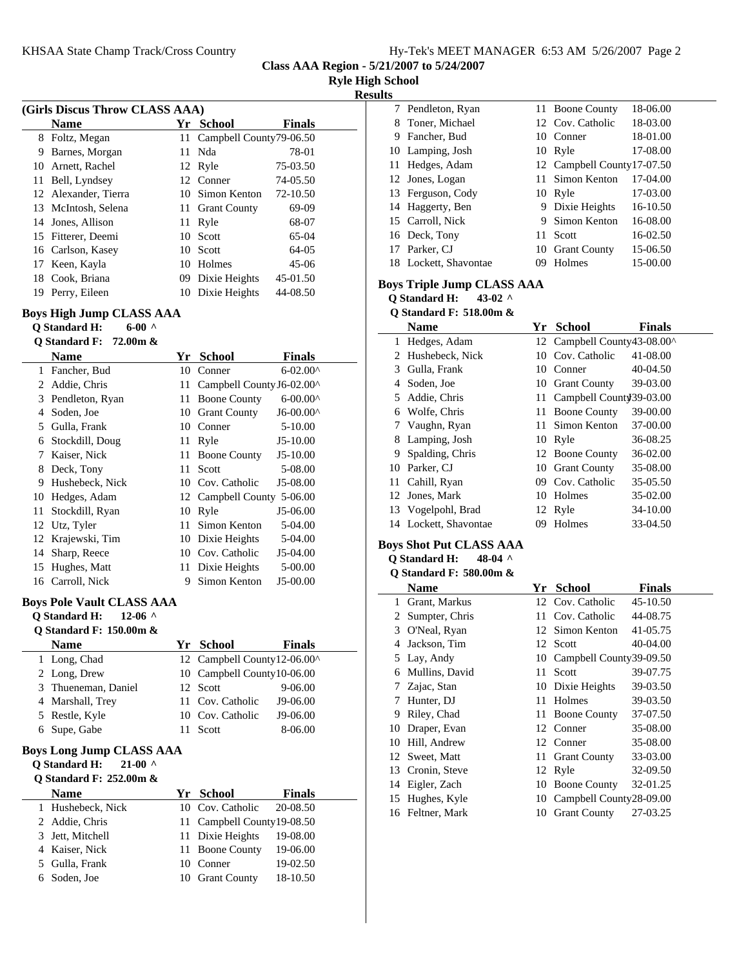|  | Hy-Tek's MEET MANAGER 6:53 AM 5/26/2007 Page 2 |  |  |  |  |
|--|------------------------------------------------|--|--|--|--|
|--|------------------------------------------------|--|--|--|--|

7 Pendleton, Ryan 11 Boone County 18-06.00

**Class AAA Region - 5/21/2007 to 5/24/2007**

|  | <b>Ryle High School</b> |
|--|-------------------------|

#### **Results**

| (Girls Discus Throw CLASS AAA)                               |                                              |    |                           |                     |  |
|--------------------------------------------------------------|----------------------------------------------|----|---------------------------|---------------------|--|
|                                                              | <b>Name</b>                                  |    | Yr School                 | Finals              |  |
| 8                                                            | Foltz, Megan                                 | 11 | Campbell County79-06.50   |                     |  |
| 9                                                            | Barnes, Morgan                               | 11 | Nda                       | 78-01               |  |
| 10                                                           | Arnett, Rachel                               | 12 | Ryle                      | 75-03.50            |  |
| 11                                                           | Bell, Lyndsey                                |    | 12 Conner                 | 74-05.50            |  |
| 12                                                           | Alexander, Tierra                            | 10 | Simon Kenton              | 72-10.50            |  |
| 13                                                           | McIntosh, Selena                             | 11 | <b>Grant County</b>       | 69-09               |  |
| 14                                                           | Jones, Allison                               | 11 | Ryle                      | 68-07               |  |
| 15                                                           | Fitterer, Deemi                              | 10 | Scott                     | 65-04               |  |
| 16                                                           | Carlson, Kasey                               | 10 | Scott                     | 64-05               |  |
| 17                                                           | Keen, Kayla                                  | 10 | Holmes                    | $45-06$             |  |
| 18                                                           | Cook, Briana                                 | 09 | Dixie Heights             | 45-01.50            |  |
| 19                                                           | Perry, Eileen                                |    | 10 Dixie Heights          | 44-08.50            |  |
| Boys High Jump CLASS AAA<br>$6-00$ ^<br><b>Q</b> Standard H: |                                              |    |                           |                     |  |
|                                                              | Q Standard F: $72.00m$ &                     |    |                           |                     |  |
|                                                              | <b>Name</b>                                  | Yr | <b>School</b>             | <b>Finals</b>       |  |
| 1                                                            | Fancher, Bud                                 | 10 | Conner                    | $6 - 02.00^{\circ}$ |  |
| 2                                                            | Addie, Chris                                 | 11 | Campbell County J6-02.00^ |                     |  |
| 3                                                            | Pendleton, Ryan                              | 11 | <b>Boone County</b>       | $6 - 00.00^{\circ}$ |  |
| 4                                                            | Soden, Joe                                   |    | 10 Grant County           | $J6-00.00^{\circ}$  |  |
|                                                              | $\epsilon$ $C_{111}$ , $D_{221}$ , $D_{331}$ |    | $10 \quad \text{C}$       | $F$ 10.00           |  |

|                                                                                                             | ташс                              | 11 | <b>Perinar</b>               | г шаіэ               |  |
|-------------------------------------------------------------------------------------------------------------|-----------------------------------|----|------------------------------|----------------------|--|
| 1                                                                                                           | Fancher, Bud                      |    | 10 Conner                    | $6 - 02.00^{\circ}$  |  |
| $\overline{c}$                                                                                              | Addie, Chris                      |    | 11 Campbell County J6-02.00^ |                      |  |
| 3                                                                                                           | Pendleton, Ryan                   |    | 11 Boone County              | $6 - 00.00^{\circ}$  |  |
| $\overline{4}$                                                                                              | Soden, Joe                        |    | 10 Grant County              | J6-00.00^            |  |
| 5                                                                                                           | Gulla, Frank                      |    | 10 Conner                    | 5-10.00              |  |
| 6                                                                                                           | Stockdill, Doug                   | 11 | Ryle                         | J5-10.00             |  |
| 7                                                                                                           | Kaiser, Nick                      | 11 | <b>Boone County</b>          | J5-10.00             |  |
| 8                                                                                                           | Deck, Tony                        | 11 | Scott                        | 5-08.00              |  |
| 9                                                                                                           | Hushebeck, Nick                   |    | 10 Cov. Catholic             | J5-08.00             |  |
| 10                                                                                                          | Hedges, Adam                      |    | 12 Campbell County 5-06.00   |                      |  |
| 11                                                                                                          | Stockdill, Ryan                   | 10 | Ryle                         | J5-06.00             |  |
| 12                                                                                                          | Utz, Tyler                        | 11 | Simon Kenton                 | 5-04.00              |  |
| 12                                                                                                          | Krajewski, Tim                    |    | 10 Dixie Heights             | 5-04.00              |  |
| 14                                                                                                          | Sharp, Reece                      |    | 10 Cov. Catholic             | J5-04.00             |  |
| 15                                                                                                          | Hughes, Matt                      | 11 | Dixie Heights                | 5-00.00              |  |
| 16                                                                                                          | Carroll, Nick                     | 9  | Simon Kenton                 | J5-00.00             |  |
| <b>Boys Pole Vault CLASS AAA</b><br><b>O</b> Standard H:<br>$12-06$ ^<br><b>O Standard F: 150.00m &amp;</b> |                                   |    |                              |                      |  |
|                                                                                                             |                                   |    |                              |                      |  |
|                                                                                                             | <b>Name</b>                       |    | Yr School                    | <b>Finals</b>        |  |
| 1                                                                                                           | Long, Chad                        | 12 | Campbell County12-06.00^     |                      |  |
| $\overline{c}$                                                                                              | Long, Drew                        | 10 | Campbell County10-06.00      |                      |  |
| 3                                                                                                           | Thueneman, Daniel                 | 12 | Scott                        | 9-06.00              |  |
| $\overline{4}$                                                                                              | Marshall, Trey                    | 11 | Cov. Catholic                | J9-06.00             |  |
| 5                                                                                                           | Restle, Kyle                      |    | 10 Cov. Catholic             | J9-06.00             |  |
| 6                                                                                                           | Supe, Gabe                        | 11 | Scott                        | 8-06.00              |  |
|                                                                                                             | <b>Boys Long Jump CLASS AAA</b>   |    |                              |                      |  |
|                                                                                                             | <b>Q</b> Standard H:<br>$21-00$ ^ |    |                              |                      |  |
|                                                                                                             | Q Standard F: 252.00m &           |    |                              |                      |  |
|                                                                                                             | <b>Name</b>                       |    | Yr School                    | <b>Finals</b>        |  |
| 1                                                                                                           | Hushebeck, Nick                   | 10 | Cov. Catholic                | 20-08.50             |  |
| $\overline{c}$                                                                                              | Addie, Chris                      | 11 | Campbell County19-08.50      |                      |  |
| 3                                                                                                           | Jett, Mitchell                    | 11 | Dixie Heights                | 19-08.00             |  |
| $\overline{4}$                                                                                              | Kaiser, Nick                      | 11 | <b>Boone County</b>          | 19-06.00             |  |
| 5<br>6                                                                                                      | Gulla, Frank<br>Soden, Joe        | 10 | Conner<br>10 Grant County    | 19-02.50<br>18-10.50 |  |

| 8 Toner, Michael      |    | 12 Cov. Catholic            | 18-03.00 |
|-----------------------|----|-----------------------------|----------|
| 9 Fancher, Bud        |    | 10 Conner                   | 18-01.00 |
| 10 Lamping, Josh      |    | 10 Ryle                     | 17-08.00 |
| 11 Hedges, Adam       |    | 12 Campbell County 17-07.50 |          |
| 12 Jones, Logan       |    | 11 Simon Kenton             | 17-04.00 |
| 13 Ferguson, Cody     |    | 10 Ryle                     | 17-03.00 |
| 14 Haggerty, Ben      |    | 9 Dixie Heights             | 16-10.50 |
| 15 Carroll, Nick      |    | 9 Simon Kenton              | 16-08.00 |
| 16 Deck, Tony         | 11 | Scott                       | 16-02.50 |
| 17 Parker, CJ         |    | 10 Grant County             | 15-06.50 |
| 18 Lockett, Shavontae | 09 | Holmes                      | 15-00.00 |
|                       |    |                             |          |

## **Boys Triple Jump CLASS AAA**

**Q Standard H: 43-02 ^**

# **Q Standard F: 518.00m &**

|    | <b>Name</b>           | Yr | <b>School</b>               | <b>Finals</b> |
|----|-----------------------|----|-----------------------------|---------------|
| 1  | Hedges, Adam          |    | 12 Campbell County43-08.00^ |               |
|    | 2 Hushebeck, Nick     | 10 | Cov. Catholic               | 41-08.00      |
|    | 3 Gulla, Frank        | 10 | Conner                      | 40-04.50      |
| 4  | Soden, Joe            |    | 10 Grant County             | 39-03.00      |
|    | 5 Addie, Chris        |    | 11 Campbell County 39-03.00 |               |
| 6  | Wolfe, Chris          | 11 | <b>Boone County</b>         | 39-00.00      |
|    | 7 Vaughn, Ryan        | 11 | Simon Kenton                | 37-00.00      |
| 8  | Lamping, Josh         | 10 | Ryle                        | 36-08.25      |
| 9  | Spalding, Chris       |    | 12 Boone County             | 36-02.00      |
| 10 | Parker, CJ            | 10 | <b>Grant County</b>         | 35-08.00      |
|    | 11 Cahill, Ryan       | 09 | Cov. Catholic               | 35-05.50      |
|    | 12 Jones, Mark        | 10 | Holmes                      | 35-02.00      |
|    | 13 Vogelpohl, Brad    |    | 12 Ryle                     | 34-10.00      |
|    | 14 Lockett, Shavontae | 09 | Holmes                      | 33-04.50      |

## **Boys Shot Put CLASS AAA**

# **Q Standard H: 48-04 ^**

# **Q Standard F: 580.00m &**

|    | Name             | Yr   | <b>School</b>              | <b>Finals</b> |
|----|------------------|------|----------------------------|---------------|
| 1  | Grant, Markus    |      | 12 Cov. Catholic           | 45-10.50      |
| 2  | Sumpter, Chris   | 11   | Cov. Catholic              | 44-08.75      |
| 3  | O'Neal, Ryan     |      | 12 Simon Kenton            | 41-05.75      |
| 4  | Jackson, Tim     |      | 12 Scott                   | 40-04.00      |
| 5  | Lay, Andy        |      | 10 Campbell County39-09.50 |               |
| 6  | Mullins, David   | 11   | Scott                      | 39-07.75      |
| 7  | Zajac, Stan      |      | 10 Dixie Heights           | 39-03.50      |
| 7  | Hunter, DJ       | 11   | Holmes                     | 39-03.50      |
| 9  | Riley, Chad      |      | 11 Boone County            | 37-07.50      |
| 10 | Draper, Evan     | 12   | Conner                     | 35-08.00      |
| 10 | Hill, Andrew     |      | 12 Conner                  | 35-08.00      |
|    | 12 Sweet, Matt   |      | 11 Grant County            | 33-03.00      |
|    | 13 Cronin, Steve |      | 12 Ryle                    | 32-09.50      |
|    | 14 Eigler, Zach  | 10   | <b>Boone County</b>        | 32-01.25      |
|    | 15 Hughes, Kyle  | 10 - | Campbell County28-09.00    |               |
|    | 16 Feltner, Mark | 10 - | <b>Grant County</b>        | 27-03.25      |